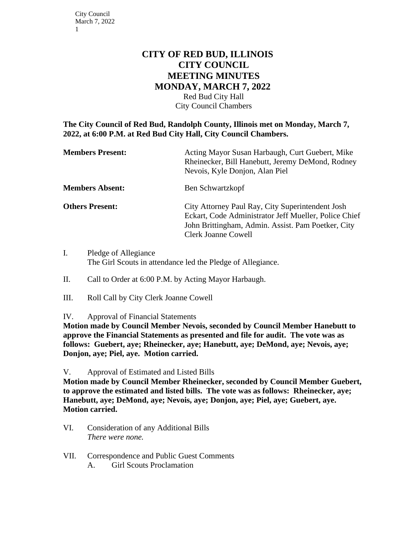## **CITY OF RED BUD, ILLINOIS CITY COUNCIL MEETING MINUTES MONDAY, MARCH 7, 2022**

Red Bud City Hall City Council Chambers

**The City Council of Red Bud, Randolph County, Illinois met on Monday, March 7, 2022, at 6:00 P.M. at Red Bud City Hall, City Council Chambers.**

| <b>Members Present:</b> | Acting Mayor Susan Harbaugh, Curt Guebert, Mike<br>Rheinecker, Bill Hanebutt, Jeremy DeMond, Rodney<br>Nevois, Kyle Donjon, Alan Piel                                                         |
|-------------------------|-----------------------------------------------------------------------------------------------------------------------------------------------------------------------------------------------|
| <b>Members Absent:</b>  | Ben Schwartzkopf                                                                                                                                                                              |
| <b>Others Present:</b>  | City Attorney Paul Ray, City Superintendent Josh<br>Eckart, Code Administrator Jeff Mueller, Police Chief<br>John Brittingham, Admin. Assist. Pam Poetker, City<br><b>Clerk Joanne Cowell</b> |

- I. Pledge of Allegiance The Girl Scouts in attendance led the Pledge of Allegiance.
- II. Call to Order at 6:00 P.M. by Acting Mayor Harbaugh.
- III. Roll Call by City Clerk Joanne Cowell
- IV. Approval of Financial Statements

**Motion made by Council Member Nevois, seconded by Council Member Hanebutt to approve the Financial Statements as presented and file for audit. The vote was as follows: Guebert, aye; Rheinecker, aye; Hanebutt, aye; DeMond, aye; Nevois, aye; Donjon, aye; Piel, aye. Motion carried.**

V. Approval of Estimated and Listed Bills

**Motion made by Council Member Rheinecker, seconded by Council Member Guebert, to approve the estimated and listed bills. The vote was as follows: Rheinecker, aye; Hanebutt, aye; DeMond, aye; Nevois, aye; Donjon, aye; Piel, aye; Guebert, aye. Motion carried.**

- VI. Consideration of any Additional Bills *There were none.*
- VII. Correspondence and Public Guest Comments
	- A. Girl Scouts Proclamation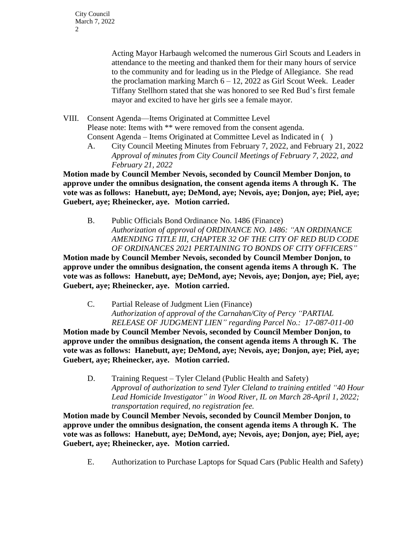City Council March 7, 2022 2

> Acting Mayor Harbaugh welcomed the numerous Girl Scouts and Leaders in attendance to the meeting and thanked them for their many hours of service to the community and for leading us in the Pledge of Allegiance. She read the proclamation marking March  $6 - 12$ , 2022 as Girl Scout Week. Leader Tiffany Stellhorn stated that she was honored to see Red Bud's first female mayor and excited to have her girls see a female mayor.

VIII. Consent Agenda—Items Originated at Committee Level Please note: Items with \*\* were removed from the consent agenda. Consent Agenda – Items Originated at Committee Level as Indicated in ( )

A. City Council Meeting Minutes from February 7, 2022, and February 21, 2022 *Approval of minutes from City Council Meetings of February 7, 2022, and February 21, 2022*

**Motion made by Council Member Nevois, seconded by Council Member Donjon, to approve under the omnibus designation, the consent agenda items A through K. The vote was as follows: Hanebutt, aye; DeMond, aye; Nevois, aye; Donjon, aye; Piel, aye; Guebert, aye; Rheinecker, aye. Motion carried.** 

B. Public Officials Bond Ordinance No. 1486 (Finance) *Authorization of approval of ORDINANCE NO. 1486: "AN ORDINANCE AMENDING TITLE III, CHAPTER 32 OF THE CITY OF RED BUD CODE OF ORDINANCES 2021 PERTAINING TO BONDS OF CITY OFFICERS"*

**Motion made by Council Member Nevois, seconded by Council Member Donjon, to approve under the omnibus designation, the consent agenda items A through K. The vote was as follows: Hanebutt, aye; DeMond, aye; Nevois, aye; Donjon, aye; Piel, aye; Guebert, aye; Rheinecker, aye. Motion carried.** 

C. Partial Release of Judgment Lien (Finance) *Authorization of approval of the Carnahan/City of Percy "PARTIAL RELEASE OF JUDGMENT LIEN" regarding Parcel No.: 17-087-011-00*

**Motion made by Council Member Nevois, seconded by Council Member Donjon, to approve under the omnibus designation, the consent agenda items A through K. The vote was as follows: Hanebutt, aye; DeMond, aye; Nevois, aye; Donjon, aye; Piel, aye; Guebert, aye; Rheinecker, aye. Motion carried.** 

D. Training Request – Tyler Cleland (Public Health and Safety) *Approval of authorization to send Tyler Cleland to training entitled "40 Hour Lead Homicide Investigator" in Wood River, IL on March 28-April 1, 2022; transportation required, no registration fee.*

**Motion made by Council Member Nevois, seconded by Council Member Donjon, to approve under the omnibus designation, the consent agenda items A through K. The vote was as follows: Hanebutt, aye; DeMond, aye; Nevois, aye; Donjon, aye; Piel, aye; Guebert, aye; Rheinecker, aye. Motion carried.** 

E. Authorization to Purchase Laptops for Squad Cars (Public Health and Safety)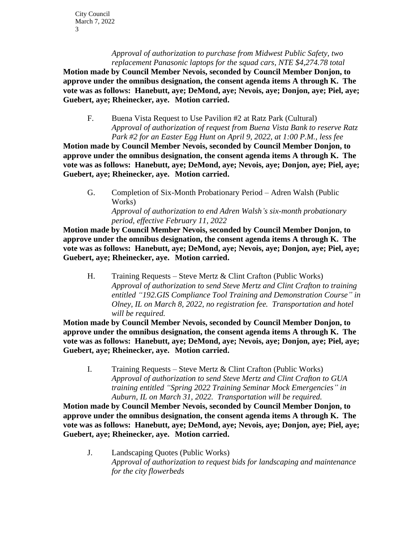*Approval of authorization to purchase from Midwest Public Safety, two replacement Panasonic laptops for the squad cars, NTE \$4,274.78 total*

**Motion made by Council Member Nevois, seconded by Council Member Donjon, to approve under the omnibus designation, the consent agenda items A through K. The vote was as follows: Hanebutt, aye; DeMond, aye; Nevois, aye; Donjon, aye; Piel, aye; Guebert, aye; Rheinecker, aye. Motion carried.** 

F. Buena Vista Request to Use Pavilion #2 at Ratz Park (Cultural) *Approval of authorization of request from Buena Vista Bank to reserve Ratz Park #2 for an Easter Egg Hunt on April 9, 2022, at 1:00 P.M., less fee*

**Motion made by Council Member Nevois, seconded by Council Member Donjon, to approve under the omnibus designation, the consent agenda items A through K. The vote was as follows: Hanebutt, aye; DeMond, aye; Nevois, aye; Donjon, aye; Piel, aye; Guebert, aye; Rheinecker, aye. Motion carried.** 

G. Completion of Six-Month Probationary Period – Adren Walsh (Public Works) *Approval of authorization to end Adren Walsh's six-month probationary period, effective February 11, 2022*

**Motion made by Council Member Nevois, seconded by Council Member Donjon, to approve under the omnibus designation, the consent agenda items A through K. The vote was as follows: Hanebutt, aye; DeMond, aye; Nevois, aye; Donjon, aye; Piel, aye; Guebert, aye; Rheinecker, aye. Motion carried.** 

H. Training Requests – Steve Mertz & Clint Crafton (Public Works) *Approval of authorization to send Steve Mertz and Clint Crafton to training entitled "192.GIS Compliance Tool Training and Demonstration Course" in Olney, IL on March 8, 2022, no registration fee. Transportation and hotel will be required.*

**Motion made by Council Member Nevois, seconded by Council Member Donjon, to approve under the omnibus designation, the consent agenda items A through K. The vote was as follows: Hanebutt, aye; DeMond, aye; Nevois, aye; Donjon, aye; Piel, aye; Guebert, aye; Rheinecker, aye. Motion carried.** 

I. Training Requests – Steve Mertz & Clint Crafton (Public Works) *Approval of authorization to send Steve Mertz and Clint Crafton to GUA training entitled "Spring 2022 Training Seminar Mock Emergencies" in Auburn, IL on March 31, 2022. Transportation will be required.*

**Motion made by Council Member Nevois, seconded by Council Member Donjon, to approve under the omnibus designation, the consent agenda items A through K. The vote was as follows: Hanebutt, aye; DeMond, aye; Nevois, aye; Donjon, aye; Piel, aye; Guebert, aye; Rheinecker, aye. Motion carried.** 

J. Landscaping Quotes (Public Works) *Approval of authorization to request bids for landscaping and maintenance for the city flowerbeds*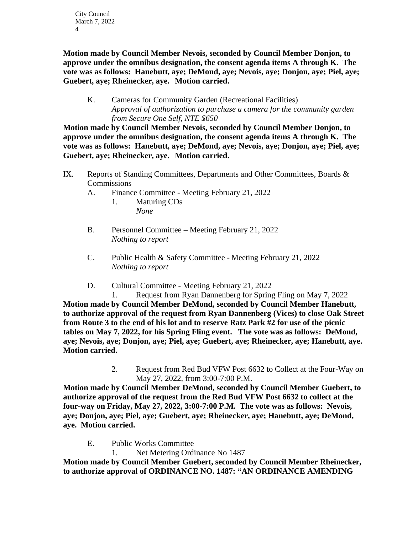City Council March 7, 2022 4

**Motion made by Council Member Nevois, seconded by Council Member Donjon, to approve under the omnibus designation, the consent agenda items A through K. The vote was as follows: Hanebutt, aye; DeMond, aye; Nevois, aye; Donjon, aye; Piel, aye; Guebert, aye; Rheinecker, aye. Motion carried.** 

K. Cameras for Community Garden (Recreational Facilities) *Approval of authorization to purchase a camera for the community garden from Secure One Self, NTE \$650*

**Motion made by Council Member Nevois, seconded by Council Member Donjon, to approve under the omnibus designation, the consent agenda items A through K. The vote was as follows: Hanebutt, aye; DeMond, aye; Nevois, aye; Donjon, aye; Piel, aye; Guebert, aye; Rheinecker, aye. Motion carried.** 

- IX. Reports of Standing Committees, Departments and Other Committees, Boards & **Commissions** 
	- A. Finance Committee Meeting February 21, 2022
		- 1. Maturing CDs *None*
	- B. Personnel Committee Meeting February 21, 2022 *Nothing to report*
	- C. Public Health & Safety Committee Meeting February 21, 2022 *Nothing to report*
	- D. Cultural Committee Meeting February 21, 2022

1. Request from Ryan Dannenberg for Spring Fling on May 7, 2022 **Motion made by Council Member DeMond, seconded by Council Member Hanebutt, to authorize approval of the request from Ryan Dannenberg (Vices) to close Oak Street from Route 3 to the end of his lot and to reserve Ratz Park #2 for use of the picnic tables on May 7, 2022, for his Spring Fling event. The vote was as follows: DeMond, aye; Nevois, aye; Donjon, aye; Piel, aye; Guebert, aye; Rheinecker, aye; Hanebutt, aye. Motion carried.**

> 2. Request from Red Bud VFW Post 6632 to Collect at the Four-Way on May 27, 2022, from 3:00-7:00 P.M.

**Motion made by Council Member DeMond, seconded by Council Member Guebert, to authorize approval of the request from the Red Bud VFW Post 6632 to collect at the four-way on Friday, May 27, 2022, 3:00-7:00 P.M. The vote was as follows: Nevois, aye; Donjon, aye; Piel, aye; Guebert, aye; Rheinecker, aye; Hanebutt, aye; DeMond, aye. Motion carried.** 

E. Public Works Committee

1. Net Metering Ordinance No 1487

**Motion made by Council Member Guebert, seconded by Council Member Rheinecker, to authorize approval of ORDINANCE NO. 1487: "AN ORDINANCE AMENDING**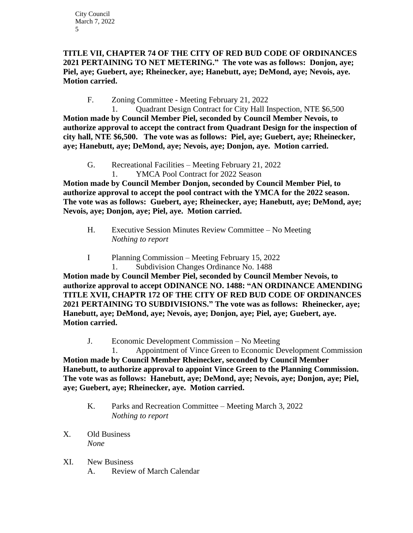## **TITLE VII, CHAPTER 74 OF THE CITY OF RED BUD CODE OF ORDINANCES 2021 PERTAINING TO NET METERING." The vote was as follows: Donjon, aye; Piel, aye; Guebert, aye; Rheinecker, aye; Hanebutt, aye; DeMond, aye; Nevois, aye. Motion carried.**

F. Zoning Committee - Meeting February 21, 2022

1. Quadrant Design Contract for City Hall Inspection, NTE \$6,500 **Motion made by Council Member Piel, seconded by Council Member Nevois, to authorize approval to accept the contract from Quadrant Design for the inspection of city hall, NTE \$6,500. The vote was as follows: Piel, aye; Guebert, aye; Rheinecker, aye; Hanebutt, aye; DeMond, aye; Nevois, aye; Donjon, aye. Motion carried.** 

- G. Recreational Facilities Meeting February 21, 2022
	- 1. YMCA Pool Contract for 2022 Season

**Motion made by Council Member Donjon, seconded by Council Member Piel, to authorize approval to accept the pool contract with the YMCA for the 2022 season. The vote was as follows: Guebert, aye; Rheinecker, aye; Hanebutt, aye; DeMond, aye; Nevois, aye; Donjon, aye; Piel, aye. Motion carried.** 

- H. Executive Session Minutes Review Committee No Meeting *Nothing to report*
- I Planning Commission Meeting February 15, 2022 1. Subdivision Changes Ordinance No. 1488

**Motion made by Council Member Piel, seconded by Council Member Nevois, to authorize approval to accept ODINANCE NO. 1488: "AN ORDINANCE AMENDING TITLE XVII, CHAPTR 172 OF THE CITY OF RED BUD CODE OF ORDINANCES 2021 PERTAINING TO SUBDIVISIONS." The vote was as follows: Rheinecker, aye; Hanebutt, aye; DeMond, aye; Nevois, aye; Donjon, aye; Piel, aye; Guebert, aye. Motion carried.** 

J. Economic Development Commission – No Meeting

1. Appointment of Vince Green to Economic Development Commission **Motion made by Council Member Rheinecker, seconded by Council Member Hanebutt, to authorize approval to appoint Vince Green to the Planning Commission. The vote was as follows: Hanebutt, aye; DeMond, aye; Nevois, aye; Donjon, aye; Piel, aye; Guebert, aye; Rheinecker, aye. Motion carried.** 

- K. Parks and Recreation Committee Meeting March 3, 2022 *Nothing to report*
- X. Old Business *None*
- XI. New Business A. Review of March Calendar